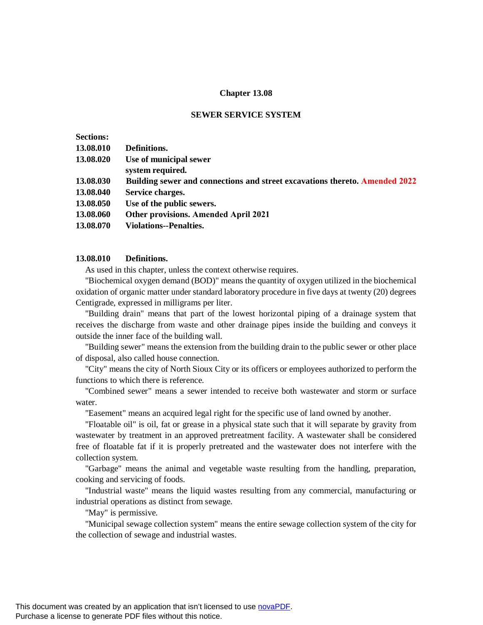## **Chapter 13.08**

#### **SEWER SERVICE SYSTEM**

| <b>Sections:</b> |                                                                                    |
|------------------|------------------------------------------------------------------------------------|
| 13.08.010        | Definitions.                                                                       |
| 13.08.020        | Use of municipal sewer<br>system required.                                         |
| 13.08.030        | <b>Building sewer and connections and street excavations thereto. Amended 2022</b> |
| 13.08.040        | Service charges.                                                                   |
| 13.08.050        | Use of the public sewers.                                                          |
| 13.08.060        | <b>Other provisions. Amended April 2021</b>                                        |
| 13.08.070        | Violations--Penalties.                                                             |

## **13.08.010 Definitions.**

As used in this chapter, unless the context otherwise requires.

 "Biochemical oxygen demand (BOD)" means the quantity of oxygen utilized in the biochemical oxidation of organic matter under standard laboratory procedure in five days at twenty (20) degrees Centigrade, expressed in milligrams per liter.

"Building drain" means that part of the lowest horizontal piping of a drainage system that receives the discharge from waste and other drainage pipes inside the building and conveys it outside the inner face of the building wall.

 "Building sewer" means the extension from the building drain to the public sewer or other place of disposal, also called house connection.

 "City" means the city of North Sioux City or its officers or employees authorized to perform the functions to which there is reference.

 "Combined sewer" means a sewer intended to receive both wastewater and storm or surface water.

"Easement" means an acquired legal right for the specific use of land owned by another.

 "Floatable oil" is oil, fat or grease in a physical state such that it will separate by gravity from wastewater by treatment in an approved pretreatment facility. A wastewater shall be considered free of floatable fat if it is properly pretreated and the wastewater does not interfere with the collection system.

"Garbage" means the animal and vegetable waste resulting from the handling, preparation, cooking and servicing of foods.

 "Industrial waste" means the liquid wastes resulting from any commercial, manufacturing or industrial operations as distinct from sewage.

"May" is permissive.

 "Municipal sewage collection system" means the entire sewage collection system of the city for the collection of sewage and industrial wastes.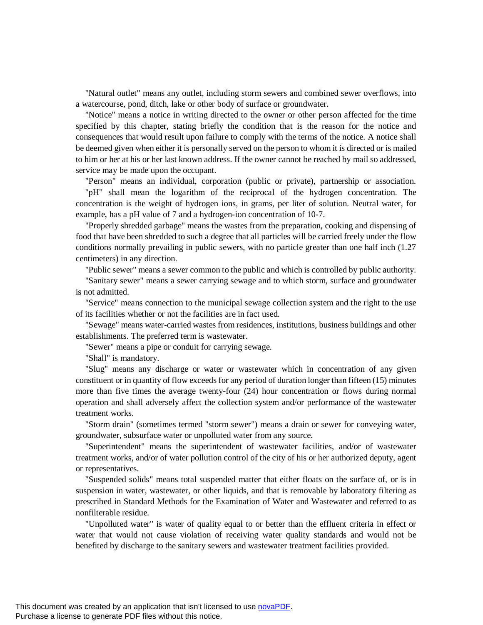"Natural outlet" means any outlet, including storm sewers and combined sewer overflows, into a watercourse, pond, ditch, lake or other body of surface or groundwater.

"Notice" means a notice in writing directed to the owner or other person affected for the time specified by this chapter, stating briefly the condition that is the reason for the notice and consequences that would result upon failure to comply with the terms of the notice. A notice shall be deemed given when either it is personally served on the person to whom it is directed or is mailed to him or her at his or her last known address. If the owner cannot be reached by mail so addressed, service may be made upon the occupant.

"Person" means an individual, corporation (public or private), partnership or association. "pH" shall mean the logarithm of the reciprocal of the hydrogen concentration. The concentration is the weight of hydrogen ions, in grams, per liter of solution. Neutral water, for example, has a pH value of 7 and a hydrogen-ion concentration of 10-7.

"Properly shredded garbage" means the wastes from the preparation, cooking and dispensing of food that have been shredded to such a degree that all particles will be carried freely under the flow conditions normally prevailing in public sewers, with no particle greater than one half inch (1.27 centimeters) in any direction.

"Public sewer" means a sewer common to the public and which is controlled by public authority.

"Sanitary sewer" means a sewer carrying sewage and to which storm, surface and groundwater is not admitted.

"Service" means connection to the municipal sewage collection system and the right to the use of its facilities whether or not the facilities are in fact used.

"Sewage" means water-carried wastes from residences, institutions, business buildings and other establishments. The preferred term is wastewater.

"Sewer" means a pipe or conduit for carrying sewage.

"Shall" is mandatory.

"Slug" means any discharge or water or wastewater which in concentration of any given constituent or in quantity of flow exceeds for any period of duration longer than fifteen (15) minutes more than five times the average twenty-four (24) hour concentration or flows during normal operation and shall adversely affect the collection system and/or performance of the wastewater treatment works.

"Storm drain" (sometimes termed "storm sewer") means a drain or sewer for conveying water, groundwater, subsurface water or unpolluted water from any source.

"Superintendent" means the superintendent of wastewater facilities, and/or of wastewater treatment works, and/or of water pollution control of the city of his or her authorized deputy, agent or representatives.

"Suspended solids" means total suspended matter that either floats on the surface of, or is in suspension in water, wastewater, or other liquids, and that is removable by laboratory filtering as prescribed in Standard Methods for the Examination of Water and Wastewater and referred to as nonfilterable residue.

"Unpolluted water" is water of quality equal to or better than the effluent criteria in effect or water that would not cause violation of receiving water quality standards and would not be benefited by discharge to the sanitary sewers and wastewater treatment facilities provided.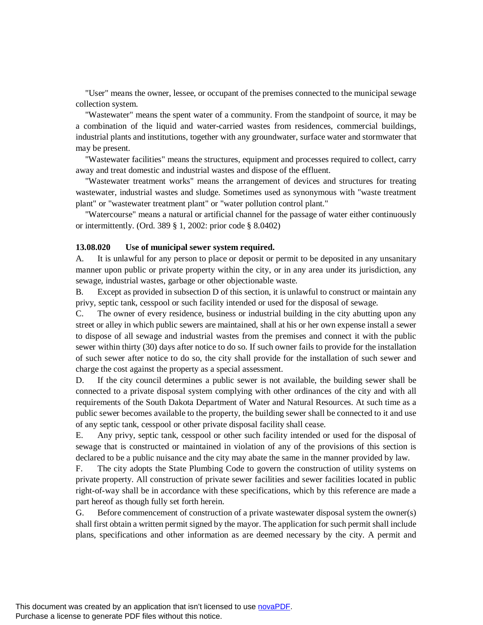"User" means the owner, lessee, or occupant of the premises connected to the municipal sewage collection system.

"Wastewater" means the spent water of a community. From the standpoint of source, it may be a combination of the liquid and water-carried wastes from residences, commercial buildings, industrial plants and institutions, together with any groundwater, surface water and stormwater that may be present.

"Wastewater facilities" means the structures, equipment and processes required to collect, carry away and treat domestic and industrial wastes and dispose of the effluent.

"Wastewater treatment works" means the arrangement of devices and structures for treating wastewater, industrial wastes and sludge. Sometimes used as synonymous with "waste treatment plant" or "wastewater treatment plant" or "water pollution control plant."

"Watercourse" means a natural or artificial channel for the passage of water either continuously or intermittently. (Ord. 389 § 1, 2002: prior code § 8.0402)

## **13.08.020 Use of municipal sewer system required.**

A. It is unlawful for any person to place or deposit or permit to be deposited in any unsanitary manner upon public or private property within the city, or in any area under its jurisdiction, any sewage, industrial wastes, garbage or other objectionable waste.

B. Except as provided in subsection D of this section, it is unlawful to construct or maintain any privy, septic tank, cesspool or such facility intended or used for the disposal of sewage.

C. The owner of every residence, business or industrial building in the city abutting upon any street or alley in which public sewers are maintained, shall at his or her own expense install a sewer to dispose of all sewage and industrial wastes from the premises and connect it with the public sewer within thirty (30) days after notice to do so. If such owner fails to provide for the installation of such sewer after notice to do so, the city shall provide for the installation of such sewer and charge the cost against the property as a special assessment.

D. If the city council determines a public sewer is not available, the building sewer shall be connected to a private disposal system complying with other ordinances of the city and with all requirements of the South Dakota Department of Water and Natural Resources. At such time as a public sewer becomes available to the property, the building sewer shall be connected to it and use of any septic tank, cesspool or other private disposal facility shall cease.

E. Any privy, septic tank, cesspool or other such facility intended or used for the disposal of sewage that is constructed or maintained in violation of any of the provisions of this section is declared to be a public nuisance and the city may abate the same in the manner provided by law.

F. The city adopts the State Plumbing Code to govern the construction of utility systems on private property. All construction of private sewer facilities and sewer facilities located in public right-of-way shall be in accordance with these specifications, which by this reference are made a part hereof as though fully set forth herein.

G. Before commencement of construction of a private wastewater disposal system the owner(s) shall first obtain a written permit signed by the mayor. The application for such permit shall include plans, specifications and other information as are deemed necessary by the city. A permit and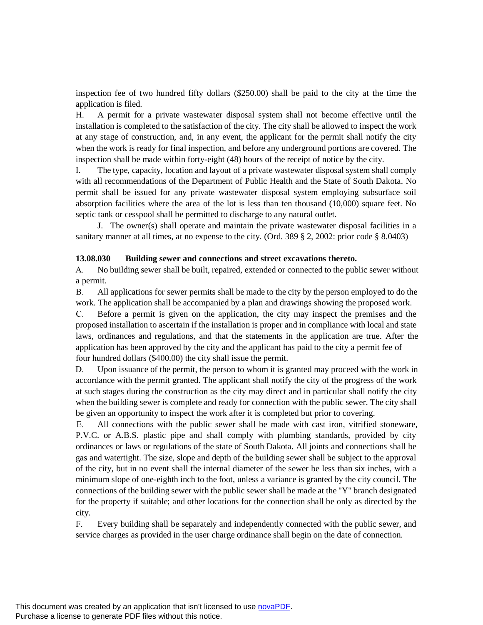inspection fee of two hundred fifty dollars (\$250.00) shall be paid to the city at the time the application is filed.

H. A permit for a private wastewater disposal system shall not become effective until the installation is completed to the satisfaction of the city. The city shall be allowed to inspect the work at any stage of construction, and, in any event, the applicant for the permit shall notify the city when the work is ready for final inspection, and before any underground portions are covered. The inspection shall be made within forty-eight (48) hours of the receipt of notice by the city.

I. The type, capacity, location and layout of a private wastewater disposal system shall comply with all recommendations of the Department of Public Health and the State of South Dakota. No permit shall be issued for any private wastewater disposal system employing subsurface soil absorption facilities where the area of the lot is less than ten thousand (10,000) square feet. No septic tank or cesspool shall be permitted to discharge to any natural outlet.

J. The owner(s) shall operate and maintain the private wastewater disposal facilities in a sanitary manner at all times, at no expense to the city. (Ord. 389 § 2, 2002: prior code § 8.0403)

## **13.08.030 Building sewer and connections and street excavations thereto.**

A. No building sewer shall be built, repaired, extended or connected to the public sewer without a permit.

B. All applications for sewer permits shall be made to the city by the person employed to do the work. The application shall be accompanied by a plan and drawings showing the proposed work.

C. Before a permit is given on the application, the city may inspect the premises and the proposed installation to ascertain if the installation is proper and in compliance with local and state laws, ordinances and regulations, and that the statements in the application are true. After the application has been approved by the city and the applicant has paid to the city a permit fee of four hundred dollars (\$400.00) the city shall issue the permit.

D. Upon issuance of the permit, the person to whom it is granted may proceed with the work in accordance with the permit granted. The applicant shall notify the city of the progress of the work at such stages during the construction as the city may direct and in particular shall notify the city when the building sewer is complete and ready for connection with the public sewer. The city shall be given an opportunity to inspect the work after it is completed but prior to covering.

E. All connections with the public sewer shall be made with cast iron, vitrified stoneware, P.V.C. or A.B.S. plastic pipe and shall comply with plumbing standards, provided by city ordinances or laws or regulations of the state of South Dakota. All joints and connections shall be gas and watertight. The size, slope and depth of the building sewer shall be subject to the approval of the city, but in no event shall the internal diameter of the sewer be less than six inches, with a minimum slope of one-eighth inch to the foot, unless a variance is granted by the city council. The connections of the building sewer with the public sewer shall be made at the "Y" branch designated for the property if suitable; and other locations for the connection shall be only as directed by the city.

F. Every building shall be separately and independently connected with the public sewer, and service charges as provided in the user charge ordinance shall begin on the date of connection.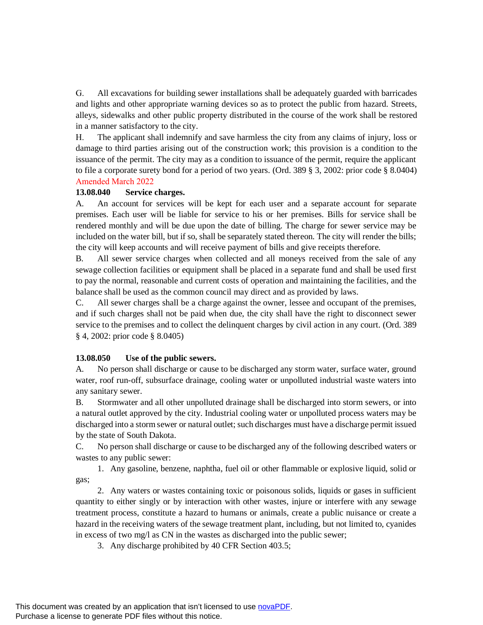G. All excavations for building sewer installations shall be adequately guarded with barricades and lights and other appropriate warning devices so as to protect the public from hazard. Streets, alleys, sidewalks and other public property distributed in the course of the work shall be restored in a manner satisfactory to the city.

H. The applicant shall indemnify and save harmless the city from any claims of injury, loss or damage to third parties arising out of the construction work; this provision is a condition to the issuance of the permit. The city may as a condition to issuance of the permit, require the applicant to file a corporate surety bond for a period of two years. (Ord. 389 § 3, 2002: prior code § 8.0404) Amended March 2022

# **13.08.040 Service charges.**

A. An account for services will be kept for each user and a separate account for separate premises. Each user will be liable for service to his or her premises. Bills for service shall be rendered monthly and will be due upon the date of billing. The charge for sewer service may be included on the water bill, but if so, shall be separately stated thereon. The city will render the bills; the city will keep accounts and will receive payment of bills and give receipts therefore.

B. All sewer service charges when collected and all moneys received from the sale of any sewage collection facilities or equipment shall be placed in a separate fund and shall be used first to pay the normal, reasonable and current costs of operation and maintaining the facilities, and the balance shall be used as the common council may direct and as provided by laws.

C. All sewer charges shall be a charge against the owner, lessee and occupant of the premises, and if such charges shall not be paid when due, the city shall have the right to disconnect sewer service to the premises and to collect the delinquent charges by civil action in any court. (Ord. 389 § 4, 2002: prior code § 8.0405)

# **13.08.050 Use of the public sewers.**

A. No person shall discharge or cause to be discharged any storm water, surface water, ground water, roof run-off, subsurface drainage, cooling water or unpolluted industrial waste waters into any sanitary sewer.

B. Stormwater and all other unpolluted drainage shall be discharged into storm sewers, or into a natural outlet approved by the city. Industrial cooling water or unpolluted process waters may be discharged into a storm sewer or natural outlet; such discharges must have a discharge permit issued by the state of South Dakota.

C. No person shall discharge or cause to be discharged any of the following described waters or wastes to any public sewer:

1. Any gasoline, benzene, naphtha, fuel oil or other flammable or explosive liquid, solid or gas;

2. Any waters or wastes containing toxic or poisonous solids, liquids or gases in sufficient quantity to either singly or by interaction with other wastes, injure or interfere with any sewage treatment process, constitute a hazard to humans or animals, create a public nuisance or create a hazard in the receiving waters of the sewage treatment plant, including, but not limited to, cyanides in excess of two mg/l as CN in the wastes as discharged into the public sewer;

3. Any discharge prohibited by 40 CFR Section 403.5;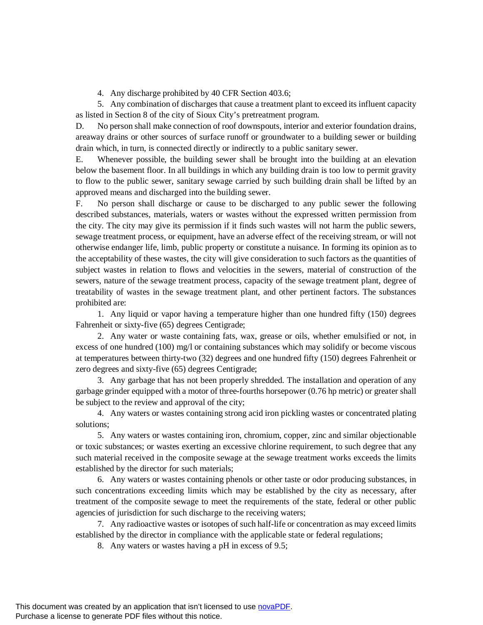4. Any discharge prohibited by 40 CFR Section 403.6;

5. Any combination of discharges that cause a treatment plant to exceed its influent capacity as listed in Section 8 of the city of Sioux City's pretreatment program.

D. No person shall make connection of roof downspouts, interior and exterior foundation drains, areaway drains or other sources of surface runoff or groundwater to a building sewer or building drain which, in turn, is connected directly or indirectly to a public sanitary sewer.

E. Whenever possible, the building sewer shall be brought into the building at an elevation below the basement floor. In all buildings in which any building drain is too low to permit gravity to flow to the public sewer, sanitary sewage carried by such building drain shall be lifted by an approved means and discharged into the building sewer.

F. No person shall discharge or cause to be discharged to any public sewer the following described substances, materials, waters or wastes without the expressed written permission from the city. The city may give its permission if it finds such wastes will not harm the public sewers, sewage treatment process, or equipment, have an adverse effect of the receiving stream, or will not otherwise endanger life, limb, public property or constitute a nuisance. In forming its opinion as to the acceptability of these wastes, the city will give consideration to such factors as the quantities of subject wastes in relation to flows and velocities in the sewers, material of construction of the sewers, nature of the sewage treatment process, capacity of the sewage treatment plant, degree of treatability of wastes in the sewage treatment plant, and other pertinent factors. The substances prohibited are:

1. Any liquid or vapor having a temperature higher than one hundred fifty (150) degrees Fahrenheit or sixty-five (65) degrees Centigrade;

2. Any water or waste containing fats, wax, grease or oils, whether emulsified or not, in excess of one hundred (100) mg/l or containing substances which may solidify or become viscous at temperatures between thirty-two (32) degrees and one hundred fifty (150) degrees Fahrenheit or zero degrees and sixty-five (65) degrees Centigrade;

3. Any garbage that has not been properly shredded. The installation and operation of any garbage grinder equipped with a motor of three-fourths horsepower (0.76 hp metric) or greater shall be subject to the review and approval of the city;

4. Any waters or wastes containing strong acid iron pickling wastes or concentrated plating solutions;

5. Any waters or wastes containing iron, chromium, copper, zinc and similar objectionable or toxic substances; or wastes exerting an excessive chlorine requirement, to such degree that any such material received in the composite sewage at the sewage treatment works exceeds the limits established by the director for such materials;

6. Any waters or wastes containing phenols or other taste or odor producing substances, in such concentrations exceeding limits which may be established by the city as necessary, after treatment of the composite sewage to meet the requirements of the state, federal or other public agencies of jurisdiction for such discharge to the receiving waters;

7. Any radioactive wastes or isotopes of such half-life or concentration as may exceed limits established by the director in compliance with the applicable state or federal regulations;

8. Any waters or wastes having a pH in excess of 9.5;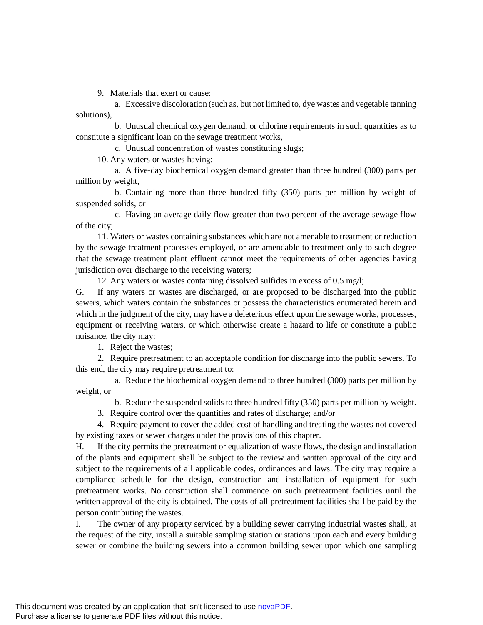9. Materials that exert or cause:

 a. Excessive discoloration (such as, but not limited to, dye wastes and vegetable tanning solutions),

 b. Unusual chemical oxygen demand, or chlorine requirements in such quantities as to constitute a significant loan on the sewage treatment works,

c. Unusual concentration of wastes constituting slugs;

10. Any waters or wastes having:

 a. A five-day biochemical oxygen demand greater than three hundred (300) parts per million by weight,

 b. Containing more than three hundred fifty (350) parts per million by weight of suspended solids, or

 c. Having an average daily flow greater than two percent of the average sewage flow of the city;

11. Waters or wastes containing substances which are not amenable to treatment or reduction by the sewage treatment processes employed, or are amendable to treatment only to such degree that the sewage treatment plant effluent cannot meet the requirements of other agencies having jurisdiction over discharge to the receiving waters;

12. Any waters or wastes containing dissolved sulfides in excess of 0.5 mg/l;

G. If any waters or wastes are discharged, or are proposed to be discharged into the public sewers, which waters contain the substances or possess the characteristics enumerated herein and which in the judgment of the city, may have a deleterious effect upon the sewage works, processes, equipment or receiving waters, or which otherwise create a hazard to life or constitute a public nuisance, the city may:

1. Reject the wastes;

2. Require pretreatment to an acceptable condition for discharge into the public sewers. To this end, the city may require pretreatment to:

 a. Reduce the biochemical oxygen demand to three hundred (300) parts per million by weight, or

b. Reduce the suspended solids to three hundred fifty (350) parts per million by weight.

3. Require control over the quantities and rates of discharge; and/or

4. Require payment to cover the added cost of handling and treating the wastes not covered by existing taxes or sewer charges under the provisions of this chapter.

H. If the city permits the pretreatment or equalization of waste flows, the design and installation of the plants and equipment shall be subject to the review and written approval of the city and subject to the requirements of all applicable codes, ordinances and laws. The city may require a compliance schedule for the design, construction and installation of equipment for such pretreatment works. No construction shall commence on such pretreatment facilities until the written approval of the city is obtained. The costs of all pretreatment facilities shall be paid by the person contributing the wastes.

I. The owner of any property serviced by a building sewer carrying industrial wastes shall, at the request of the city, install a suitable sampling station or stations upon each and every building sewer or combine the building sewers into a common building sewer upon which one sampling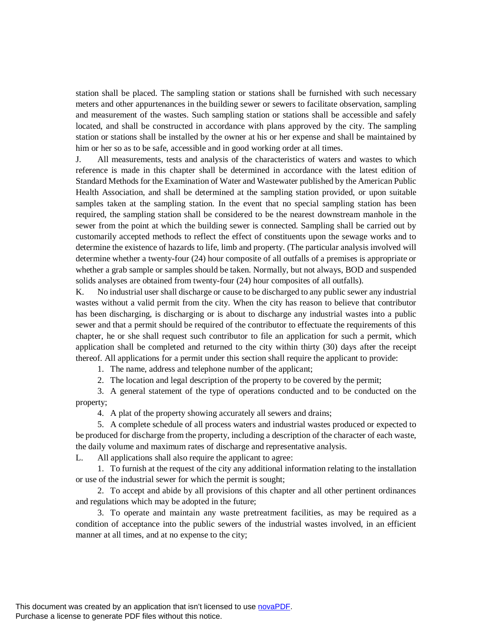station shall be placed. The sampling station or stations shall be furnished with such necessary meters and other appurtenances in the building sewer or sewers to facilitate observation, sampling and measurement of the wastes. Such sampling station or stations shall be accessible and safely located, and shall be constructed in accordance with plans approved by the city. The sampling station or stations shall be installed by the owner at his or her expense and shall be maintained by him or her so as to be safe, accessible and in good working order at all times.

J. All measurements, tests and analysis of the characteristics of waters and wastes to which reference is made in this chapter shall be determined in accordance with the latest edition of Standard Methods for the Examination of Water and Wastewater published by the American Public Health Association, and shall be determined at the sampling station provided, or upon suitable samples taken at the sampling station. In the event that no special sampling station has been required, the sampling station shall be considered to be the nearest downstream manhole in the sewer from the point at which the building sewer is connected. Sampling shall be carried out by customarily accepted methods to reflect the effect of constituents upon the sewage works and to determine the existence of hazards to life, limb and property. (The particular analysis involved will determine whether a twenty-four (24) hour composite of all outfalls of a premises is appropriate or whether a grab sample or samples should be taken. Normally, but not always, BOD and suspended solids analyses are obtained from twenty-four (24) hour composites of all outfalls).

K. No industrial user shall discharge or cause to be discharged to any public sewer any industrial wastes without a valid permit from the city. When the city has reason to believe that contributor has been discharging, is discharging or is about to discharge any industrial wastes into a public sewer and that a permit should be required of the contributor to effectuate the requirements of this chapter, he or she shall request such contributor to file an application for such a permit, which application shall be completed and returned to the city within thirty (30) days after the receipt thereof. All applications for a permit under this section shall require the applicant to provide:

1. The name, address and telephone number of the applicant;

2. The location and legal description of the property to be covered by the permit;

3. A general statement of the type of operations conducted and to be conducted on the property;

4. A plat of the property showing accurately all sewers and drains;

5. A complete schedule of all process waters and industrial wastes produced or expected to be produced for discharge from the property, including a description of the character of each waste, the daily volume and maximum rates of discharge and representative analysis.

L. All applications shall also require the applicant to agree:

1. To furnish at the request of the city any additional information relating to the installation or use of the industrial sewer for which the permit is sought;

2. To accept and abide by all provisions of this chapter and all other pertinent ordinances and regulations which may be adopted in the future;

3. To operate and maintain any waste pretreatment facilities, as may be required as a condition of acceptance into the public sewers of the industrial wastes involved, in an efficient manner at all times, and at no expense to the city;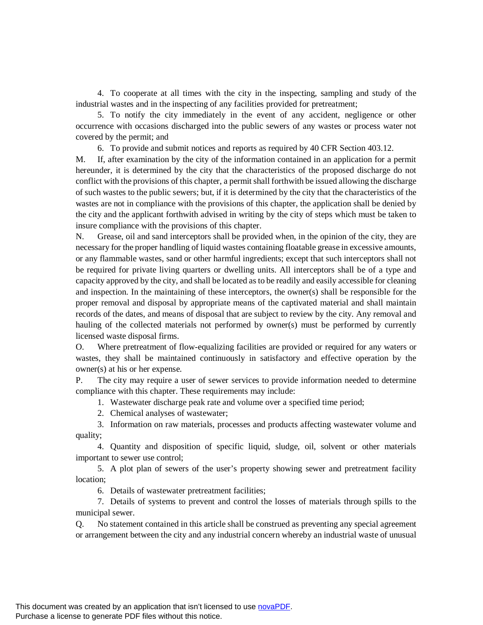4. To cooperate at all times with the city in the inspecting, sampling and study of the industrial wastes and in the inspecting of any facilities provided for pretreatment;

5. To notify the city immediately in the event of any accident, negligence or other occurrence with occasions discharged into the public sewers of any wastes or process water not covered by the permit; and

6. To provide and submit notices and reports as required by 40 CFR Section 403.12.

M. If, after examination by the city of the information contained in an application for a permit hereunder, it is determined by the city that the characteristics of the proposed discharge do not conflict with the provisions of this chapter, a permit shall forthwith be issued allowing the discharge of such wastes to the public sewers; but, if it is determined by the city that the characteristics of the wastes are not in compliance with the provisions of this chapter, the application shall be denied by the city and the applicant forthwith advised in writing by the city of steps which must be taken to insure compliance with the provisions of this chapter.

N. Grease, oil and sand interceptors shall be provided when, in the opinion of the city, they are necessary for the proper handling of liquid wastes containing floatable grease in excessive amounts, or any flammable wastes, sand or other harmful ingredients; except that such interceptors shall not be required for private living quarters or dwelling units. All interceptors shall be of a type and capacity approved by the city, and shall be located as to be readily and easily accessible for cleaning and inspection. In the maintaining of these interceptors, the owner(s) shall be responsible for the proper removal and disposal by appropriate means of the captivated material and shall maintain records of the dates, and means of disposal that are subject to review by the city. Any removal and hauling of the collected materials not performed by owner(s) must be performed by currently licensed waste disposal firms.

O. Where pretreatment of flow-equalizing facilities are provided or required for any waters or wastes, they shall be maintained continuously in satisfactory and effective operation by the owner(s) at his or her expense.

P. The city may require a user of sewer services to provide information needed to determine compliance with this chapter. These requirements may include:

1. Wastewater discharge peak rate and volume over a specified time period;

2. Chemical analyses of wastewater;

3. Information on raw materials, processes and products affecting wastewater volume and quality;

4. Quantity and disposition of specific liquid, sludge, oil, solvent or other materials important to sewer use control;

5. A plot plan of sewers of the user's property showing sewer and pretreatment facility location;

6. Details of wastewater pretreatment facilities;

7. Details of systems to prevent and control the losses of materials through spills to the municipal sewer.

Q. No statement contained in this article shall be construed as preventing any special agreement or arrangement between the city and any industrial concern whereby an industrial waste of unusual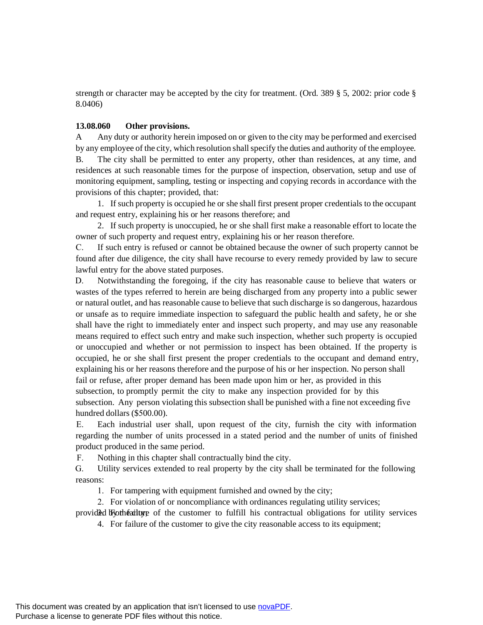strength or character may be accepted by the city for treatment. (Ord. 389 § 5, 2002: prior code § 8.0406)

# **13.08.060 Other provisions.**

A Any duty or authority herein imposed on or given to the city may be performed and exercised by any employee of the city, which resolution shall specify the duties and authority of the employee.

B. The city shall be permitted to enter any property, other than residences, at any time, and residences at such reasonable times for the purpose of inspection, observation, setup and use of monitoring equipment, sampling, testing or inspecting and copying records in accordance with the provisions of this chapter; provided, that:

1. If such property is occupied he or she shall first present proper credentials to the occupant and request entry, explaining his or her reasons therefore; and

2. If such property is unoccupied, he or she shall first make a reasonable effort to locate the owner of such property and request entry, explaining his or her reason therefore.

C. If such entry is refused or cannot be obtained because the owner of such property cannot be found after due diligence, the city shall have recourse to every remedy provided by law to secure lawful entry for the above stated purposes.

D. Notwithstanding the foregoing, if the city has reasonable cause to believe that waters or wastes of the types referred to herein are being discharged from any property into a public sewer or natural outlet, and has reasonable cause to believe that such discharge is so dangerous, hazardous or unsafe as to require immediate inspection to safeguard the public health and safety, he or she shall have the right to immediately enter and inspect such property, and may use any reasonable means required to effect such entry and make such inspection, whether such property is occupied or unoccupied and whether or not permission to inspect has been obtained. If the property is occupied, he or she shall first present the proper credentials to the occupant and demand entry, explaining his or her reasons therefore and the purpose of his or her inspection. No person shall fail or refuse, after proper demand has been made upon him or her, as provided in this subsection, to promptly permit the city to make any inspection provided for by this subsection. Any person violating this subsection shall be punished with a fine not exceeding five hundred dollars (\$500.00).

E. Each industrial user shall, upon request of the city, furnish the city with information regarding the number of units processed in a stated period and the number of units of finished product produced in the same period.

F. Nothing in this chapter shall contractually bind the city.

G. Utility services extended to real property by the city shall be terminated for the following reasons:

1. For tampering with equipment furnished and owned by the city;

2. For violation of or noncompliance with ordinances regulating utility services;

provided by the ailure of the customer to fulfill his contractual obligations for utility services

4. For failure of the customer to give the city reasonable access to its equipment;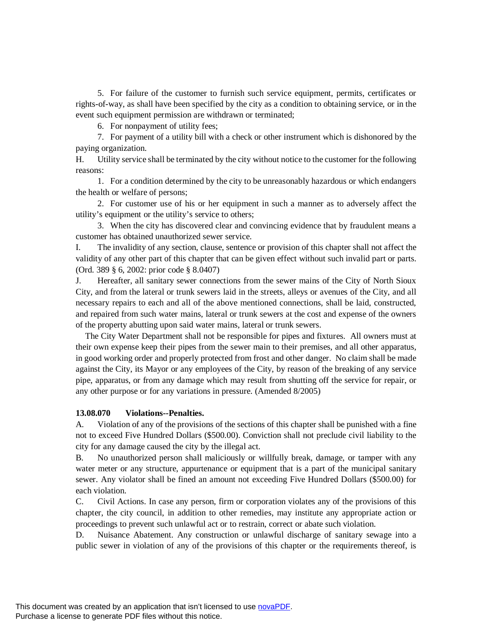5. For failure of the customer to furnish such service equipment, permits, certificates or rights-of-way, as shall have been specified by the city as a condition to obtaining service, or in the event such equipment permission are withdrawn or terminated;

6. For nonpayment of utility fees;

7. For payment of a utility bill with a check or other instrument which is dishonored by the paying organization.

H. Utility service shall be terminated by the city without notice to the customer for the following reasons:

1. For a condition determined by the city to be unreasonably hazardous or which endangers the health or welfare of persons;

2. For customer use of his or her equipment in such a manner as to adversely affect the utility's equipment or the utility's service to others;

3. When the city has discovered clear and convincing evidence that by fraudulent means a customer has obtained unauthorized sewer service.

I. The invalidity of any section, clause, sentence or provision of this chapter shall not affect the validity of any other part of this chapter that can be given effect without such invalid part or parts. (Ord. 389 § 6, 2002: prior code § 8.0407)

J. Hereafter, all sanitary sewer connections from the sewer mains of the City of North Sioux City, and from the lateral or trunk sewers laid in the streets, alleys or avenues of the City, and all necessary repairs to each and all of the above mentioned connections, shall be laid, constructed, and repaired from such water mains, lateral or trunk sewers at the cost and expense of the owners of the property abutting upon said water mains, lateral or trunk sewers.

The City Water Department shall not be responsible for pipes and fixtures. All owners must at their own expense keep their pipes from the sewer main to their premises, and all other apparatus, in good working order and properly protected from frost and other danger. No claim shall be made against the City, its Mayor or any employees of the City, by reason of the breaking of any service pipe, apparatus, or from any damage which may result from shutting off the service for repair, or any other purpose or for any variations in pressure. (Amended 8/2005)

## **13.08.070 Violations--Penalties.**

A. Violation of any of the provisions of the sections of this chapter shall be punished with a fine not to exceed Five Hundred Dollars (\$500.00). Conviction shall not preclude civil liability to the city for any damage caused the city by the illegal act.

B. No unauthorized person shall maliciously or willfully break, damage, or tamper with any water meter or any structure, appurtenance or equipment that is a part of the municipal sanitary sewer. Any violator shall be fined an amount not exceeding Five Hundred Dollars (\$500.00) for each violation.

C. Civil Actions. In case any person, firm or corporation violates any of the provisions of this chapter, the city council, in addition to other remedies, may institute any appropriate action or proceedings to prevent such unlawful act or to restrain, correct or abate such violation.

D. Nuisance Abatement. Any construction or unlawful discharge of sanitary sewage into a public sewer in violation of any of the provisions of this chapter or the requirements thereof, is